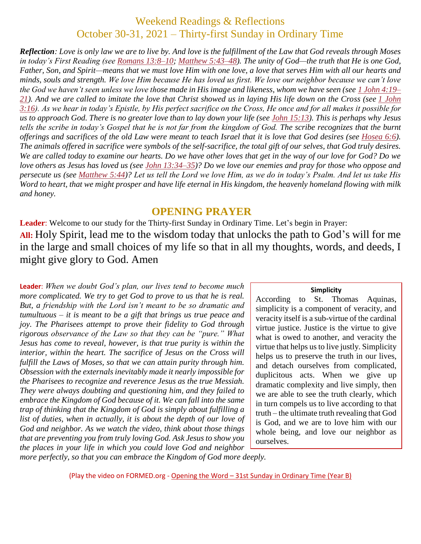# Weekend Readings & Reflections October 30-31, 2021 – Thirty-first Sunday in Ordinary Time

*Reflection: Love is only law we are to live by. And love is the fulfillment of the Law that God reveals through Moses in today's First Reading (see Romans [13:8–10;](https://biblia.com/bible/rsvce/Rom%2013.8%E2%80%9310) Matthew [5:43–48\)](https://biblia.com/bible/rsvce/Matt%205.43%E2%80%9348). The unity of God—the truth that He is one God, Father, Son, and Spirit—means that we must love Him with one love, a love that serves Him with all our hearts and minds, souls and strength. We love Him because He has loved us first. We love our neighbor because we can't love the God we haven't seen unless we love those made in His image and likeness, whom we have seen (see 1 John [4:19–](https://biblia.com/bible/rsvce/1%20John%204.19%E2%80%9321) [21\)](https://biblia.com/bible/rsvce/1%20John%204.19%E2%80%9321). And we are called to imitate the love that Christ showed us in laying His life down on the Cross (see 1 [John](https://biblia.com/bible/rsvce/1%20John%203.16) [3:16\)](https://biblia.com/bible/rsvce/1%20John%203.16). As we hear in today's Epistle, by His perfect sacrifice on the Cross, He once and for all makes it possible for us to approach God. There is no greater love than to lay down your life (see John [15:13\)](https://biblia.com/bible/rsvce/John%2015.13). This is perhaps why Jesus tells the scribe in today's Gospel that he is not far from the kingdom of God. The scribe recognizes that the burnt offerings and sacrifices of the old Law were meant to teach Israel that it is love that God desires (see [Hosea](https://biblia.com/bible/rsvce/Hos%206.6) 6:6). The animals offered in sacrifice were symbols of the self-sacrifice, the total gift of our selves, that God truly desires. We are called today to examine our hearts. Do we have other loves that get in the way of our love for God? Do we love others as Jesus has loved us (see John [13:34–35\)](https://biblia.com/bible/rsvce/John%2013.34%E2%80%9335)? Do we love our enemies and pray for those who oppose and persecute us (see [Matthew](https://biblia.com/bible/rsvce/Matt%205.44) 5:44)? Let us tell the Lord we love Him, as we do in today's Psalm. And let us take His Word to heart, that we might prosper and have life eternal in His kingdom, the heavenly homeland flowing with milk and honey.*

### **OPENING PRAYER**

**Leader**: Welcome to our study for the Thirty-first Sunday in Ordinary Time. Let's begin in Prayer: **All:** Holy Spirit, lead me to the wisdom today that unlocks the path to God's will for me in the large and small choices of my life so that in all my thoughts, words, and deeds, I might give glory to God. Amen

**Leader**: *When we doubt God's plan, our lives tend to become much more complicated. We try to get God to prove to us that he is real. But, a friendship with the Lord isn't meant to be so dramatic and tumultuous – it is meant to be a gift that brings us true peace and joy. The Pharisees attempt to prove their fidelity to God through rigorous observance of the Law so that they can be "pure." What Jesus has come to reveal, however, is that true purity is within the interior, within the heart. The sacrifice of Jesus on the Cross will fulfill the Laws of Moses, so that we can attain purity through him. Obsession with the externals inevitably made it nearly impossible for the Pharisees to recognize and reverence Jesus as the true Messiah. They were always doubting and questioning him, and they failed to embrace the Kingdom of God because of it. We can fall into the same trap of thinking that the Kingdom of God is simply about fulfilling a list of duties, when in actually, it is about the depth of our love of God and neighbor. As we watch the video, think about those things that are preventing you from truly loving God. Ask Jesus to show you the places in your life in which you could love God and neighbor* 

#### **Simplicity**

According to St. Thomas Aquinas, simplicity is a component of veracity, and veracity itself is a sub-virtue of the cardinal virtue justice. Justice is the virtue to give what is owed to another, and veracity the virtue that helps us to live justly. Simplicity helps us to preserve the truth in our lives, and detach ourselves from complicated, duplicitous acts. When we give up dramatic complexity and live simply, then we are able to see the truth clearly, which in turn compels us to live according to that truth – the ultimate truth revealing that God is God, and we are to love him with our whole being, and love our neighbor as ourselves.

*more perfectly, so that you can embrace the Kingdom of God more deeply.*

(Play the video on FORMED.org - Opening the Word – 31st [Sunday in Ordinary Time \(Year B\)](https://watch.formed.org/opening-the-word-1/season:2/videos/31st-sunday-of-ordinary-time-november-4-2018)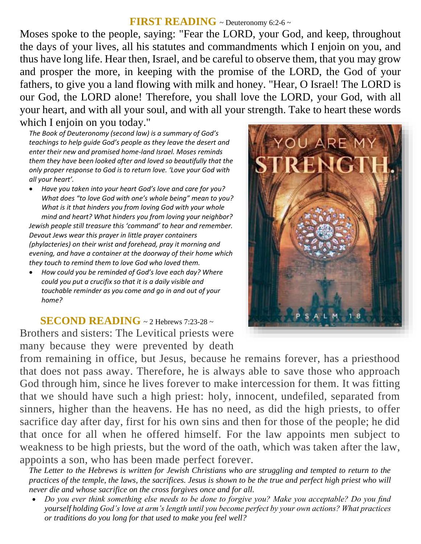## **FIRST READING** ~ Deuteronomy 6:2-6 ~

Moses spoke to the people, saying: "Fear the LORD, your God, and keep, throughout the days of your lives, all his statutes and commandments which I enjoin on you, and thus have long life. Hear then, Israel, and be careful to observe them, that you may grow and prosper the more, in keeping with the promise of the LORD, the God of your fathers, to give you a land flowing with milk and honey. "Hear, O Israel! The LORD is our God, the LORD alone! Therefore, you shall love the LORD, your God, with all your heart, and with all your soul, and with all your strength. Take to heart these words which I enjoin on you today."

*The Book of Deuteronomy (second law) is a summary of God's teachings to help guide God's people as they leave the desert and enter their new and promised home-land Israel. Moses reminds them they have been looked after and loved so beautifully that the only proper response to God is to return love. 'Love your God with all your heart'.* 

- *Have you taken into your heart God's love and care for you? What does "to love God with one's whole being" mean to you? What is it that hinders you from loving God with your whole mind and heart? What hinders you from loving your neighbor? Jewish people still treasure this 'command' to hear and remember. Devout Jews wear this prayer in little prayer containers (phylacteries) on their wrist and forehead, pray it morning and evening, and have a container at the doorway of their home which they touch to remind them to love God who loved them.*
- *How could you be reminded of God's love each day? Where could you put a crucifix so that it is a daily visible and touchable reminder as you come and go in and out of your home?*

**SECOND READING** ~ 2 Hebrews 7:23-28 ~ Brothers and sisters: The Levitical priests were many because they were prevented by death

from remaining in office, but Jesus, because he remains forever, has a priesthood that does not pass away. Therefore, he is always able to save those who approach God through him, since he lives forever to make intercession for them. It was fitting that we should have such a high priest: holy, innocent, undefiled, separated from sinners, higher than the heavens. He has no need, as did the high priests, to offer sacrifice day after day, first for his own sins and then for those of the people; he did that once for all when he offered himself. For the law appoints men subject to weakness to be high priests, but the word of the oath, which was taken after the law, appoints a son, who has been made perfect forever.

*The Letter to the Hebrews is written for Jewish Christians who are struggling and tempted to return to the practices of the temple, the laws, the sacrifices. Jesus is shown to be the true and perfect high priest who will never die and whose sacrifice on the cross forgives once and for all.* 

 *Do you ever think something else needs to be done to forgive you? Make you acceptable? Do you find yourself holding God's love at arm's length until you become perfect by your own actions? What practices or traditions do you long for that used to make you feel well?*

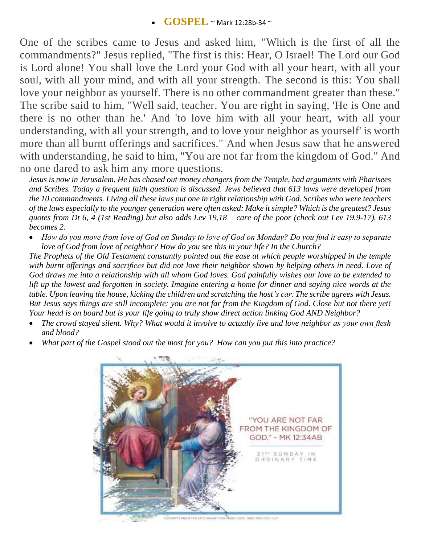One of the scribes came to Jesus and asked him, "Which is the first of all the commandments?" Jesus replied, "The first is this: Hear, O Israel! The Lord our God is Lord alone! You shall love the Lord your God with all your heart, with all your soul, with all your mind, and with all your strength. The second is this: You shall love your neighbor as yourself. There is no other commandment greater than these." The scribe said to him, "Well said, teacher. You are right in saying, 'He is One and there is no other than he.' And 'to love him with all your heart, with all your understanding, with all your strength, and to love your neighbor as yourself' is worth more than all burnt offerings and sacrifices." And when Jesus saw that he answered with understanding, he said to him, "You are not far from the kingdom of God." And no one dared to ask him any more questions.

*Jesus is now in Jerusalem. He has chased out money changers from the Temple, had arguments with Pharisees and Scribes. Today a frequent faith question is discussed. Jews believed that 613 laws were developed from the 10 commandments. Living all these laws put one in right relationship with God. Scribes who were teachers of the laws especially to the younger generation were often asked: Make it simple? Which is the greatest? Jesus quotes from Dt 6, 4 (1st Reading) but also adds Lev 19,18 – care of the poor (check out Lev 19.9-17). 613 becomes 2.* 

 *How do you move from love of God on Sunday to love of God on Monday? Do you find it easy to separate love of God from love of neighbor? How do you see this in your life? In the Church?*

*The Prophets of the Old Testament constantly pointed out the ease at which people worshipped in the temple with burnt offerings and sacrifices but did not love their neighbor shown by helping others in need. Love of God draws me into a relationship with all whom God loves. God painfully wishes our love to be extended to*  lift up the lowest and forgotten in society. Imagine entering a home for dinner and saying nice words at the *table. Upon leaving the house, kicking the children and scratching the host's car. The scribe agrees with Jesus. But Jesus says things are still incomplete: you are not far from the Kingdom of God. Close but not there yet! Your head is on board but is your life going to truly show direct action linking God AND Neighbor?* 

- *The crowd stayed silent. Why? What would it involve to actually live and love neighbor as your own flesh and blood?*
- *What part of the Gospel stood out the most for you? How can you put this into practice?*